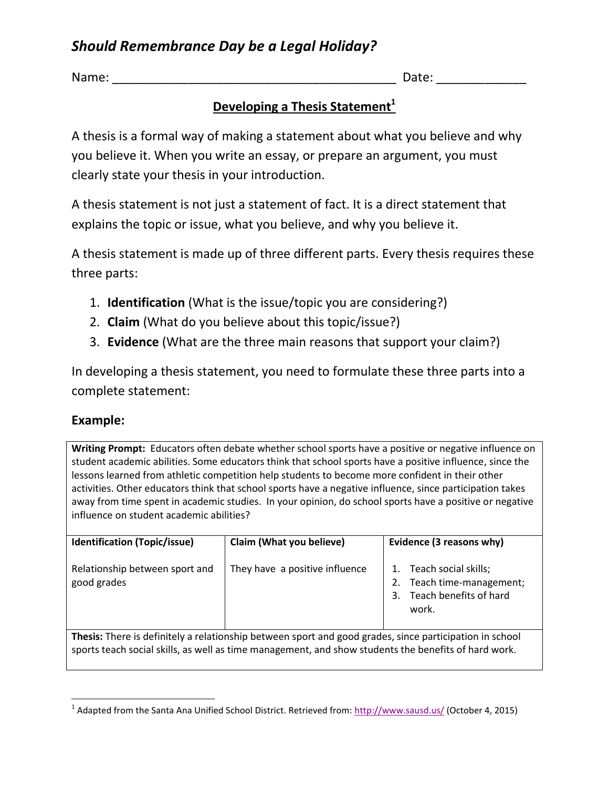# *Should Remembrance Day be a Legal Holiday?*

Name:  $\Box$ 

#### **Developing a Thesis Statement<sup>1</sup>**

A thesis is a formal way of making a statement about what you believe and why you believe it. When you write an essay, or prepare an argument, you must clearly state your thesis in your introduction.

A thesis statement is not just a statement of fact. It is a direct statement that explains the topic or issue, what you believe, and why you believe it.

A thesis statement is made up of three different parts. Every thesis requires these three parts:

- 1. **Identification** (What is the issue/topic you are considering?)
- 2. **Claim** (What do you believe about this topic/issue?)
- 3. **Evidence** (What are the three main reasons that support your claim?)

In developing a thesis statement, you need to formulate these three parts into a complete statement:

#### **Example:**

**Writing Prompt:** Educators often debate whether school sports have a positive or negative influence on student academic abilities. Some educators think that school sports have a positive influence, since the lessons learned from athletic competition help students to become more confident in their other activities. Other educators think that school sports have a negative influence, since participation takes away from time spent in academic studies. In your opinion, do school sports have a positive or negative influence on student academic abilities?

| <b>Identification (Topic/issue)</b>                                                                            | Claim (What you believe)       | Evidence (3 reasons why)                                                                      |  |
|----------------------------------------------------------------------------------------------------------------|--------------------------------|-----------------------------------------------------------------------------------------------|--|
| Relationship between sport and<br>good grades                                                                  | They have a positive influence | Teach social skills;<br>Teach time-management;<br>2.<br>Teach benefits of hard<br>3.<br>work. |  |
| <b>Thesis:</b> There is definitely a relationship between sport and good grades, since participation in school |                                |                                                                                               |  |

**Thesis:** There is definitely a relationship between sport and good grades, since participation in school sports teach social skills, as well as time management, and show students the benefits of hard work.

 $\overline{\phantom{a}}$ <sup>1</sup> Adapted from the Santa Ana Unified School District. Retrieved from[: http://www.sausd.us/](http://www.sausd.us/) (October 4, 2015)